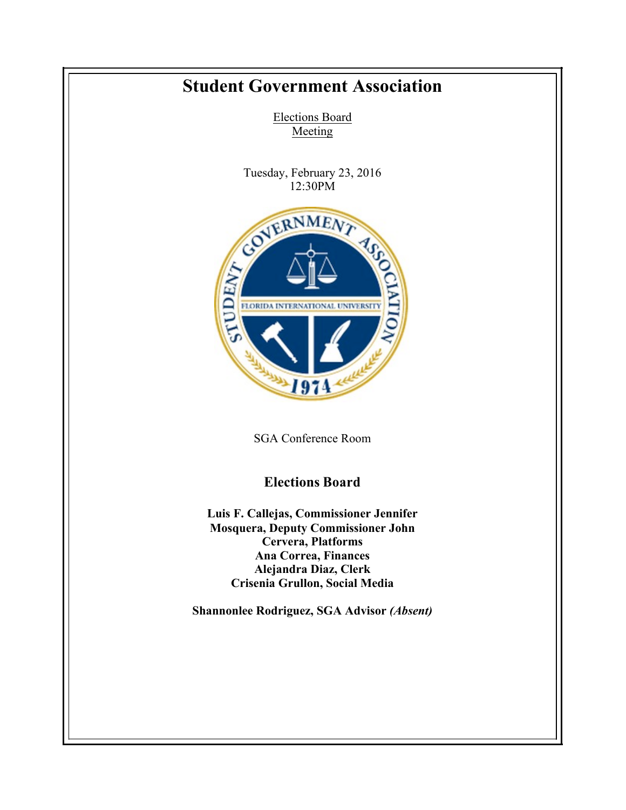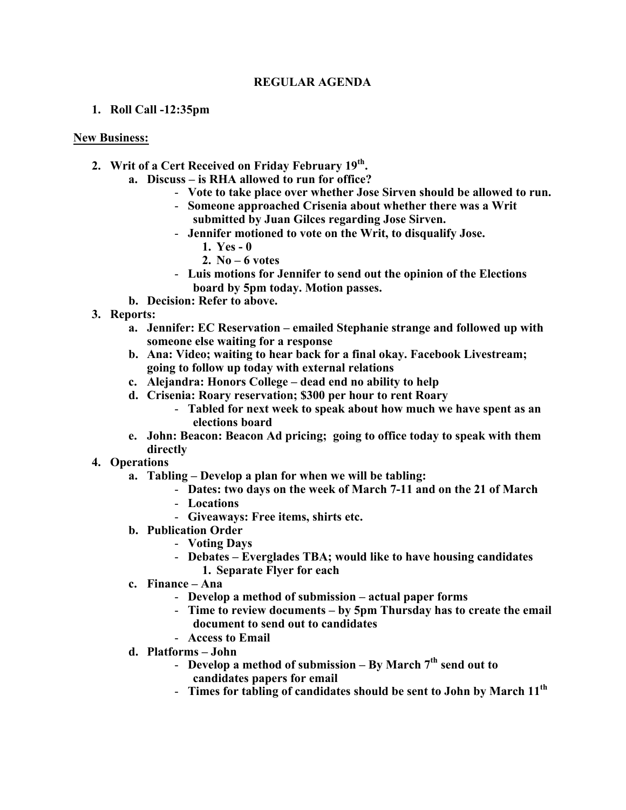## **REGULAR AGENDA**

## **1. Roll Call -12:35pm**

## **New Business:**

- **2. Writ of a Cert Received on Friday February 19th.** 
	- **a. Discuss – is RHA allowed to run for office?**
		- **Vote to take place over whether Jose Sirven should be allowed to run.**
		- **Someone approached Crisenia about whether there was a Writ submitted by Juan Gilces regarding Jose Sirven.**
		- **Jennifer motioned to vote on the Writ, to disqualify Jose.**
			- **1. Yes - 0**
			- **2. No – 6 votes**
		- **Luis motions for Jennifer to send out the opinion of the Elections board by 5pm today. Motion passes.**
	- **b. Decision: Refer to above.**
- **3. Reports:**
	- **a. Jennifer: EC Reservation – emailed Stephanie strange and followed up with someone else waiting for a response**
	- **b. Ana: Video; waiting to hear back for a final okay. Facebook Livestream; going to follow up today with external relations**
	- **c. Alejandra: Honors College – dead end no ability to help**
	- **d. Crisenia: Roary reservation; \$300 per hour to rent Roary**
		- **Tabled for next week to speak about how much we have spent as an elections board**
	- **e. John: Beacon: Beacon Ad pricing; going to office today to speak with them directly**
- **4. Operations**
	- **a. Tabling – Develop a plan for when we will be tabling:**
		- **Dates: two days on the week of March 7-11 and on the 21 of March**
		- **Locations**
		- **Giveaways: Free items, shirts etc.**
	- **b. Publication Order**
		- **Voting Days**
		- **Debates – Everglades TBA; would like to have housing candidates 1. Separate Flyer for each**
	- **c. Finance – Ana**
		- **Develop a method of submission – actual paper forms**
		- **Time to review documents – by 5pm Thursday has to create the email document to send out to candidates**
		- **Access to Email**
	- **d. Platforms – John**
		- **Develop a method of submission – By March 7th send out to candidates papers for email**
		- **Times for tabling of candidates should be sent to John by March 11th**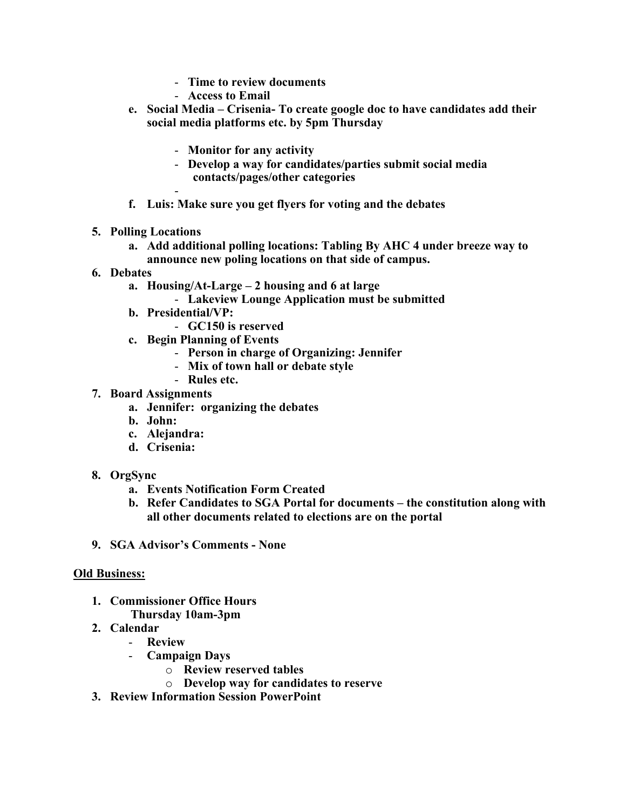- **Time to review documents**
- **Access to Email**
- **e. Social Media – Crisenia- To create google doc to have candidates add their social media platforms etc. by 5pm Thursday**
	- **Monitor for any activity**
	- **Develop a way for candidates/parties submit social media contacts/pages/other categories**
- **f. Luis: Make sure you get flyers for voting and the debates**
- **5. Polling Locations**
	- **a. Add additional polling locations: Tabling By AHC 4 under breeze way to announce new poling locations on that side of campus.**
- **6. Debates**
	- **a. Housing/At-Large – 2 housing and 6 at large**
		- **Lakeview Lounge Application must be submitted**
	- **b. Presidential/VP:**
		- **GC150 is reserved**
	- **c. Begin Planning of Events**
		- **Person in charge of Organizing: Jennifer**
		- **Mix of town hall or debate style**
		- **Rules etc.**
- **7. Board Assignments**
	- **a. Jennifer: organizing the debates**
	- **b. John:**
	- **c. Alejandra:**
	- **d. Crisenia:**
- **8. OrgSync**
	- **a. Events Notification Form Created**
	- **b. Refer Candidates to SGA Portal for documents – the constitution along with all other documents related to elections are on the portal**
- **9. SGA Advisor's Comments - None**

## **Old Business:**

- **1. Commissioner Office Hours Thursday 10am-3pm**
- **2. Calendar**
	- **Review**
		- **Campaign Days**
			- o **Review reserved tables**
			- o **Develop way for candidates to reserve**
- **3. Review Information Session PowerPoint**